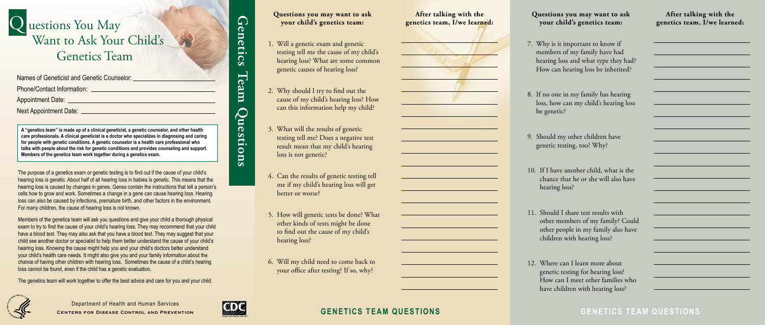# uestions You May Want to Ask Your Child's Genetics Team

## **GENETICS TEAM QUESTIONS GENETICS TEAM QUESTIONS**

**Genetics Team Questions**

Question

<u>in</u>

Ieam

 $\mathsf{q}$  ) en

Īeti

 $\overline{\mathbf{S}}$ 

### **After talking with the genetics team, I/we learned:**

| ad?               |  |
|-------------------|--|
| l?                |  |
|                   |  |
|                   |  |
| g<br>$_{\rm OSS}$ |  |
|                   |  |
|                   |  |
|                   |  |
|                   |  |
|                   |  |
|                   |  |
| he                |  |
| ive               |  |
|                   |  |
|                   |  |
|                   |  |
| blud              |  |
| ave               |  |
|                   |  |
|                   |  |
|                   |  |
|                   |  |
| ho                |  |
|                   |  |

| Names of Geneticist and Genetic Counselor: |
|--------------------------------------------|
| <b>Phone/Contact Information:</b>          |
| <b>Appointment Date:</b>                   |

### **After talking with the genetics team, I/we learned:**

**Questions you may want to ask** 

## **your child's genetics team:**

Department of Health and Human Services **Centers for Disease Control and Prevention**



Next Appointment Date:

**A "genetics team" is made up of a clinical geneticist, a genetic counselor, and other health care professionals. A clinical geneticist is a doctor who specializes in diagnosing and caring for people with genetic conditions. A genetic counselor is a health care professional who talks with people about the risk for genetic conditions and provides counseling and support. Members of the genetics team work together during a genetics exam.** 

The purpose of a genetics exam or genetic testing is to find out if the cause of your child's hearing loss is genetic. About half of all hearing loss in babies is genetic. This means that the hearing loss is caused by changes in genes. Genes contain the instructions that tell a person's cells how to grow and work. Sometimes a change in a gene can cause hearing loss. Hearing loss can also be caused by infections, premature birth, and other factors in the environment. For many children, the cause of hearing loss is not known.

members of my family have had hearing loss and what type they had How can hearing loss be inherited

loss, how can my child's hearing l

chance that he or she will also ha

other members of my family? Co other people in my family also h

Members of the genetics team will ask you questions and give your child a thorough physical exam to try to find the cause of your child's hearing loss. They may recommend that your child have a blood test. They may also ask that you have a blood test. They may suggest that your child see another doctor or specialist to help them better understand the cause of your child's hearing loss. Knowing the cause might help you and your child's doctors better understand your child's health care needs. It might also give you and your family information about the chance of having other children with hearing loss. Sometimes the cause of a child's hearing loss cannot be found, even if the child has a genetic evaluation.

The genetics team will work together to offer the best advice and care for you and your child.



### **Questions you may want to ask your child's genetics team:**

- 1. Will a genetic exam and genetic testing tell me the cause of my child's hearing loss? What are some common genetic causes of hearing loss?
- 2. Why should I try to find out the cause of my child's hearing loss? How can this information help my child?
- 3. What will the results of genetic testing tell me? Does a negative test result mean that my child's hearing loss is not genetic?
- 4. Can the results of genetic testing tell me if my child's hearing loss will get better or worse?
- 5. How will genetic tests be done? What other kinds of tests might be done to find out the cause of my child's hearing loss?
- 6. Will my child need to come back to your office after testing? If so, why?
- 7. Why is it important to know if
- 8. If no one in my family has hearing be genetic?
- 9. Should my other children have genetic testing, too? Why?
- 10. If I have another child, what is t hearing loss?
- 11. Should I share test results with children with hearing loss?
- 12. Where can I learn more about

genetic testing for hearing loss? How can I meet other families w have children with hearing loss?